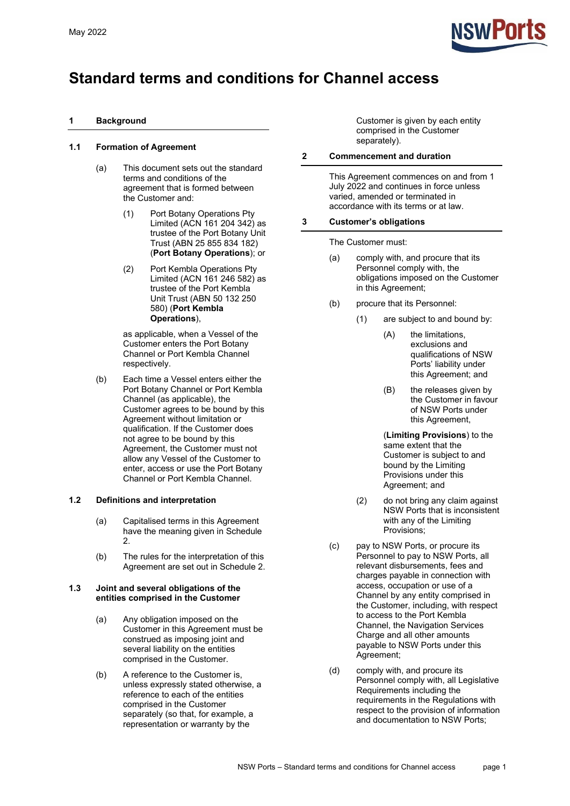

## **Standard terms and conditions for Channel access**

## **1 Background**

## **1.1 Formation of Agreement**

- (a) This document sets out the standard terms and conditions of the agreement that is formed between the Customer and:
	- (1) Port Botany Operations Pty Limited (ACN 161 204 342) as trustee of the Port Botany Unit Trust (ABN 25 855 834 182) (**Port Botany Operations**); or
	- (2) Port Kembla Operations Pty Limited (ACN 161 246 582) as trustee of the Port Kembla Unit Trust (ABN 50 132 250 580) (**Port Kembla Operations**),

as applicable, when a Vessel of the Customer enters the Port Botany Channel or Port Kembla Channel respectively.

(b) Each time a Vessel enters either the Port Botany Channel or Port Kembla Channel (as applicable), the Customer agrees to be bound by this Agreement without limitation or qualification. If the Customer does not agree to be bound by this Agreement, the Customer must not allow any Vessel of the Customer to enter, access or use the Port Botany Channel or Port Kembla Channel.

## **1.2 Definitions and interpretation**

- (a) Capitalised terms in this Agreement have the meaning given in [Schedule](#page-18-0)  [2.](#page-18-0)
- (b) The rules for the interpretation of this Agreement are set out in [Schedule 2.](#page-18-0)

#### **1.3 Joint and several obligations of the entities comprised in the Customer**

- (a) Any obligation imposed on the Customer in this Agreement must be construed as imposing joint and several liability on the entities comprised in the Customer.
- (b) A reference to the Customer is, unless expressly stated otherwise, a reference to each of the entities comprised in the Customer separately (so that, for example, a representation or warranty by the

Customer is given by each entity comprised in the Customer separately).

## **2 Commencement and duration**

This Agreement commences on and from 1 July 2022 and continues in force unless varied, amended or terminated in accordance with its terms or at law.

## **3 Customer's obligations**

The Customer must:

- (a) comply with, and procure that its Personnel comply with, the obligations imposed on the Customer in this Agreement;
- <span id="page-0-0"></span>(b) procure that its Personnel:
	- (1) are subject to and bound by:
		- (A) the limitations, exclusions and qualifications of NSW Ports' liability under this Agreement; and
		- (B) the releases given by the Customer in favour of NSW Ports under this Agreement,

(**Limiting Provisions**) to the same extent that the Customer is subject to and bound by the Limiting Provisions under this Agreement; and

- (2) do not bring any claim against NSW Ports that is inconsistent with any of the Limiting Provisions;
- (c) pay to NSW Ports, or procure its Personnel to pay to NSW Ports, all relevant disbursements, fees and charges payable in connection with access, occupation or use of a Channel by any entity comprised in the Customer, including, with respect to access to the Port Kembla Channel, the Navigation Services Charge and all other amounts payable to NSW Ports under this Agreement;
- (d) comply with, and procure its Personnel comply with, all Legislative Requirements including the requirements in the Regulations with respect to the provision of information and documentation to NSW Ports;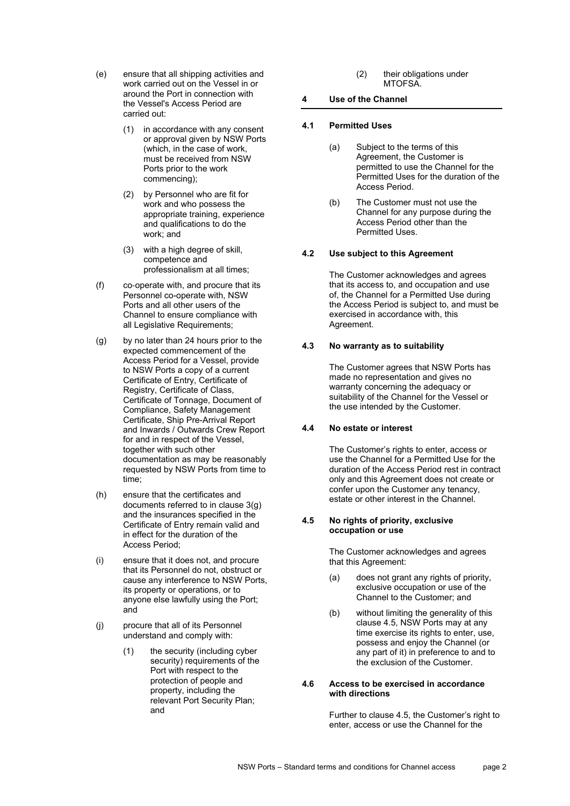- (e) ensure that all shipping activities and work carried out on the Vessel in or around the Port in connection with the Vessel's Access Period are carried out:
	- (1) in accordance with any consent or approval given by NSW Ports (which, in the case of work, must be received from NSW Ports prior to the work commencing);
	- (2) by Personnel who are fit for work and who possess the appropriate training, experience and qualifications to do the work; and
	- (3) with a high degree of skill, competence and professionalism at all times;
- (f) co‐operate with, and procure that its Personnel co-operate with, NSW Ports and all other users of the Channel to ensure compliance with all Legislative Requirements;
- <span id="page-1-0"></span>(g) by no later than 24 hours prior to the expected commencement of the Access Period for a Vessel, provide to NSW Ports a copy of a current Certificate of Entry, Certificate of Registry, Certificate of Class, Certificate of Tonnage, Document of Compliance, Safety Management Certificate, Ship Pre-Arrival Report and Inwards / Outwards Crew Report for and in respect of the Vessel, together with such other documentation as may be reasonably requested by NSW Ports from time to time;
- <span id="page-1-2"></span>(h) ensure that the certificates and documents referred to in clause [3\(g\)](#page-1-0) and the insurances specified in the Certificate of Entry remain valid and in effect for the duration of the Access Period;
- (i) ensure that it does not, and procure that its Personnel do not, obstruct or cause any interference to NSW Ports, its property or operations, or to anyone else lawfully using the Port; and
- (j) procure that all of its Personnel understand and comply with:
	- (1) the security (including cyber security) requirements of the Port with respect to the protection of people and property, including the relevant Port Security Plan; and

(2) their obligations under MTOFSA.

## **4 Use of the Channel**

## **4.1 Permitted Uses**

- (a) Subject to the terms of this Agreement, the Customer is permitted to use the Channel for the Permitted Uses for the duration of the Access Period.
- (b) The Customer must not use the Channel for any purpose during the Access Period other than the Permitted Uses.

## **4.2 Use subject to this Agreement**

The Customer acknowledges and agrees that its access to, and occupation and use of, the Channel for a Permitted Use during the Access Period is subject to, and must be exercised in accordance with, this Agreement.

## **4.3 No warranty as to suitability**

The Customer agrees that NSW Ports has made no representation and gives no warranty concerning the adequacy or suitability of the Channel for the Vessel or the use intended by the Customer.

## **4.4 No estate or interest**

The Customer's rights to enter, access or use the Channel for a Permitted Use for the duration of the Access Period rest in contract only and this Agreement does not create or confer upon the Customer any tenancy, estate or other interest in the Channel.

#### <span id="page-1-1"></span>**4.5 No rights of priority, exclusive occupation or use**

The Customer acknowledges and agrees that this Agreement:

- (a) does not grant any rights of priority, exclusive occupation or use of the Channel to the Customer; and
- (b) without limiting the generality of this clause [4.5,](#page-1-1) NSW Ports may at any time exercise its rights to enter, use, possess and enjoy the Channel (or any part of it) in preference to and to the exclusion of the Customer.

#### **4.6 Access to be exercised in accordance with directions**

Further to clause 4.5, the Customer's right to enter, access or use the Channel for the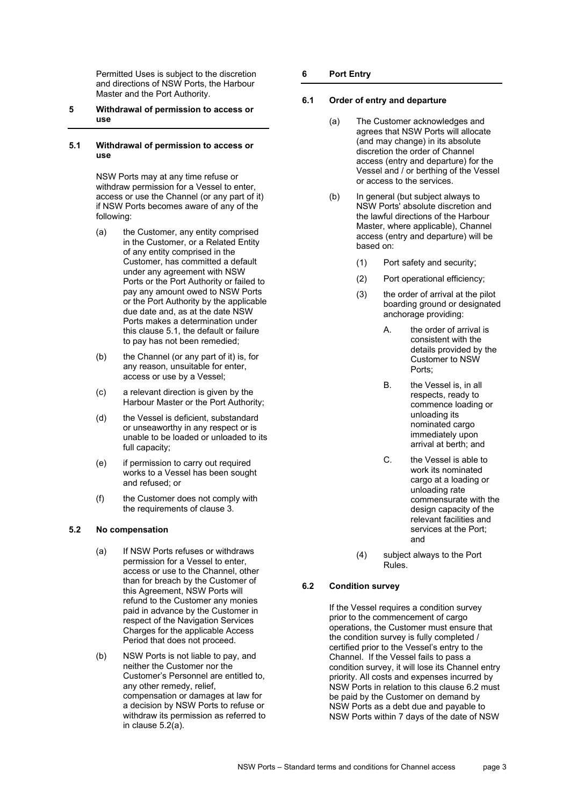Permitted Uses is subject to the discretion and directions of NSW Ports, the Harbour Master and the Port Authority.

### **5 Withdrawal of permission to access or use**

#### <span id="page-2-0"></span>**5.1 Withdrawal of permission to access or use**

NSW Ports may at any time refuse or withdraw permission for a Vessel to enter, access or use the Channel (or any part of it) if NSW Ports becomes aware of any of the following:

- (a) the Customer, any entity comprised in the Customer, or a Related Entity of any entity comprised in the Customer, has committed a default under any agreement with NSW Ports or the Port Authority or failed to pay any amount owed to NSW Ports or the Port Authority by the applicable due date and, as at the date NSW Ports makes a determination under this clause [5.1,](#page-2-0) the default or failure to pay has not been remedied;
- (b) the Channel (or any part of it) is, for any reason, unsuitable for enter, access or use by a Vessel;
- (c) a relevant direction is given by the Harbour Master or the Port Authority;
- (d) the Vessel is deficient, substandard or unseaworthy in any respect or is unable to be loaded or unloaded to its full capacity;
- (e) if permission to carry out required works to a Vessel has been sought and refused; or
- (f) the Customer does not comply with the requirements of clause 3.

## <span id="page-2-1"></span>**5.2 No compensation**

- (a) If NSW Ports refuses or withdraws permission for a Vessel to enter, access or use to the Channel, other than for breach by the Customer of this Agreement, NSW Ports will refund to the Customer any monies paid in advance by the Customer in respect of the Navigation Services Charges for the applicable Access Period that does not proceed.
- (b) NSW Ports is not liable to pay, and neither the Customer nor the Customer's Personnel are entitled to, any other remedy, relief, compensation or damages at law for a decision by NSW Ports to refuse or withdraw its permission as referred to in clause [5.2\(a\).](#page-2-1)

## **6 Port Entry**

## **6.1 Order of entry and departure**

- (a) The Customer acknowledges and agrees that NSW Ports will allocate (and may change) in its absolute discretion the order of Channel access (entry and departure) for the Vessel and / or berthing of the Vessel or access to the services.
- (b) In general (but subject always to NSW Ports' absolute discretion and the lawful directions of the Harbour Master, where applicable), Channel access (entry and departure) will be based on:
	- (1) Port safety and security;
	- (2) Port operational efficiency;
	- (3) the order of arrival at the pilot boarding ground or designated anchorage providing:
		- A. the order of arrival is consistent with the details provided by the Customer to NSW Ports;
		- B. the Vessel is, in all respects, ready to commence loading or unloading its nominated cargo immediately upon arrival at berth; and
		- C. the Vessel is able to work its nominated cargo at a loading or unloading rate commensurate with the design capacity of the relevant facilities and services at the Port; and
	- (4) subject always to the Port Rules.

## <span id="page-2-2"></span>**6.2 Condition survey**

If the Vessel requires a condition survey prior to the commencement of cargo operations, the Customer must ensure that the condition survey is fully completed / certified prior to the Vessel's entry to the Channel. If the Vessel fails to pass a condition survey, it will lose its Channel entry priority. All costs and expenses incurred by NSW Ports in relation to this claus[e 6.2](#page-2-2) must be paid by the Customer on demand by NSW Ports as a debt due and payable to NSW Ports within 7 days of the date of NSW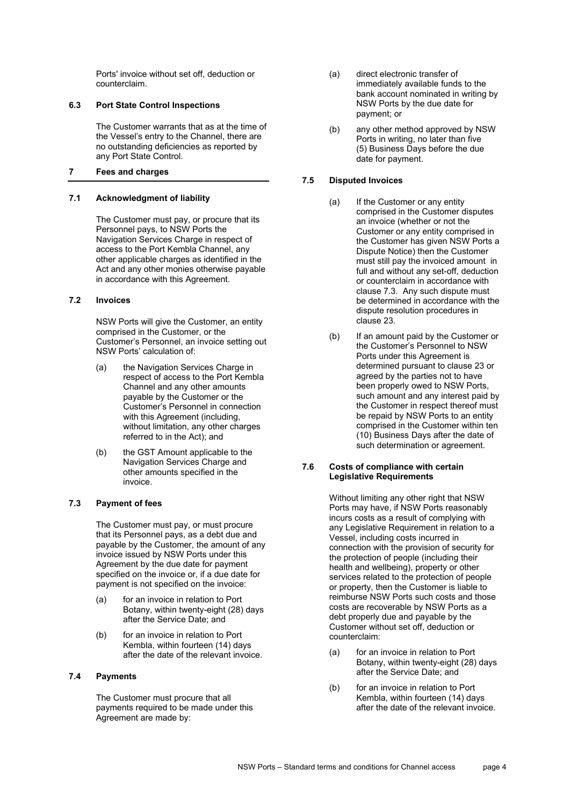Ports' invoice without set off, deduction or counterclaim.

## **6.3 Port State Control Inspections**

The Customer warrants that as at the time of the Vessel's entry to the Channel, there are no outstanding deficiencies as reported by any Port State Control.

## <span id="page-3-1"></span>**7 Fees and charges**

## **7.1 Acknowledgment of liability**

The Customer must pay, or procure that its Personnel pays, to NSW Ports the Navigation Services Charge in respect of access to the Port Kembla Channel, any other applicable charges as identified in the Act and any other monies otherwise payable in accordance with this Agreement.

#### **7.2 Invoices**

NSW Ports will give the Customer, an entity comprised in the Customer, or the Customer's Personnel, an invoice setting out NSW Ports' calculation of:

- (a) the Navigation Services Charge in respect of access to the Port Kembla Channel and any other amounts payable by the Customer or the Customer's Personnel in connection with this Agreement (including, without limitation, any other charges referred to in the Act); and
- (b) the GST Amount applicable to the Navigation Services Charge and other amounts specified in the invoice.

## <span id="page-3-0"></span>**7.3 Payment of fees**

The Customer must pay, or must procure that its Personnel pays, as a debt due and payable by the Customer, the amount of any invoice issued by NSW Ports under this Agreement by the due date for payment specified on the invoice or, if a due date for payment is not specified on the invoice:

- (a) for an invoice in relation to Port Botany, within twenty-eight (28) days after the Service Date; and
- (b) for an invoice in relation to Port Kembla, within fourteen (14) days after the date of the relevant invoice.

## **7.4 Payments**

The Customer must procure that all payments required to be made under this Agreement are made by:

- (a) direct electronic transfer of immediately available funds to the bank account nominated in writing by NSW Ports by the due date for payment; or
- (b) any other method approved by NSW Ports in writing, no later than five (5) Business Days before the due date for payment.

## **7.5 Disputed Invoices**

- (a) If the Customer or any entity comprised in the Customer disputes an invoice (whether or not the Customer or any entity comprised in the Customer has given NSW Ports a Dispute Notice) then the Customer must still pay the invoiced amount in full and without any set-off, deduction or counterclaim in accordance with clause [7.3.](#page-3-0) Any such dispute must be determined in accordance with the dispute resolution procedures in clause [23.](#page-14-0)
- (b) If an amount paid by the Customer or the Customer's Personnel to NSW Ports under this Agreement is determined pursuant to clause 23 or agreed by the parties not to have been properly owed to NSW Ports, such amount and any interest paid by the Customer in respect thereof must be repaid by NSW Ports to an entity comprised in the Customer within ten (10) Business Days after the date of such determination or agreement.

## **7.6 Costs of compliance with certain Legislative Requirements**

Without limiting any other right that NSW Ports may have, if NSW Ports reasonably incurs costs as a result of complying with any Legislative Requirement in relation to a Vessel, including costs incurred in connection with the provision of security for the protection of people (including their health and wellbeing), property or other services related to the protection of people or property, then the Customer is liable to reimburse NSW Ports such costs and those costs are recoverable by NSW Ports as a debt properly due and payable by the Customer without set off, deduction or counterclaim:

- (a) for an invoice in relation to Port Botany, within twenty-eight (28) days after the Service Date; and
- (b) for an invoice in relation to Port Kembla, within fourteen (14) days after the date of the relevant invoice.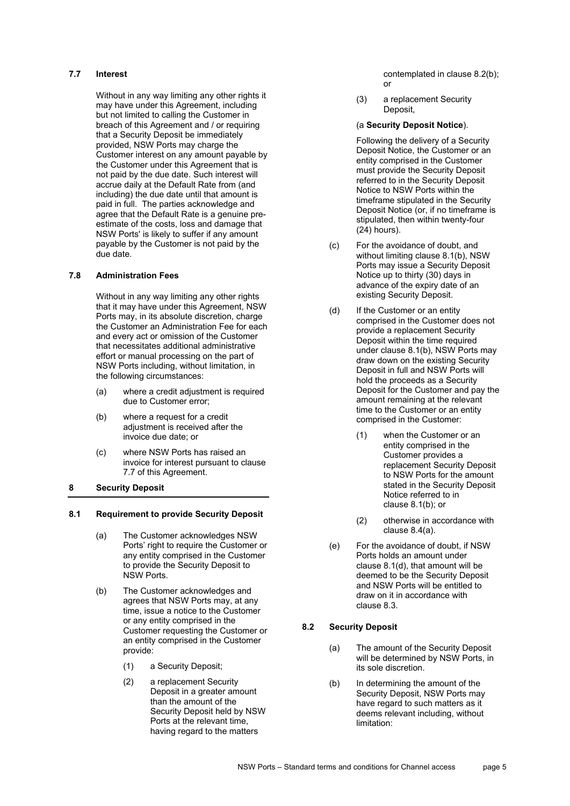### <span id="page-4-3"></span>**7.7 Interest**

Without in any way limiting any other rights it may have under this Agreement, including but not limited to calling the Customer in breach of this Agreement and / or requiring that a Security Deposit be immediately provided, NSW Ports may charge the Customer interest on any amount payable by the Customer under this Agreement that is not paid by the due date. Such interest will accrue daily at the Default Rate from (and including) the due date until that amount is paid in full. The parties acknowledge and agree that the Default Rate is a genuine preestimate of the costs, loss and damage that NSW Ports' is likely to suffer if any amount payable by the Customer is not paid by the due date.

## **7.8 Administration Fees**

Without in any way limiting any other rights that it may have under this Agreement, NSW Ports may, in its absolute discretion, charge the Customer an Administration Fee for each and every act or omission of the Customer that necessitates additional administrative effort or manual processing on the part of NSW Ports including, without limitation, in the following circumstances:

- (a) where a credit adjustment is required due to Customer error;
- (b) where a request for a credit adjustment is received after the invoice due date; or
- (c) where NSW Ports has raised an invoice for interest pursuant to clause 7.7 of this Agreement.
- **8 Security Deposit**

#### <span id="page-4-4"></span>**8.1 Requirement to provide Security Deposit**

- (a) The Customer acknowledges NSW Ports' right to require the Customer or any entity comprised in the Customer to provide the Security Deposit to NSW Ports.
- <span id="page-4-5"></span><span id="page-4-1"></span>(b) The Customer acknowledges and agrees that NSW Ports may, at any time, issue a notice to the Customer or any entity comprised in the Customer requesting the Customer or an entity comprised in the Customer provide:
	- (1) a Security Deposit;
	- (2) a replacement Security Deposit in a greater amount than the amount of the Security Deposit held by NSW Ports at the relevant time, having regard to the matters

contemplated in clause [8.2\(b\);](#page-4-0) or

(3) a replacement Security Deposit,

### (a **Security Deposit Notice**).

Following the delivery of a Security Deposit Notice, the Customer or an entity comprised in the Customer must provide the Security Deposit referred to in the Security Deposit Notice to NSW Ports within the timeframe stipulated in the Security Deposit Notice (or, if no timeframe is stipulated, then within twenty-four (24) hours).

- (c) For the avoidance of doubt, and without limiting clause [8.1\(b\),](#page-4-1) NSW Ports may issue a Security Deposit Notice up to thirty (30) days in advance of the expiry date of an existing Security Deposit.
- <span id="page-4-2"></span>(d) If the Customer or an entity comprised in the Customer does not provide a replacement Security Deposit within the time required under clause [8.1\(b\),](#page-4-1) NSW Ports may draw down on the existing Security Deposit in full and NSW Ports will hold the proceeds as a Security Deposit for the Customer and pay the amount remaining at the relevant time to the Customer or an entity comprised in the Customer:
	- (1) when the Customer or an entity comprised in the Customer provides a replacement Security Deposit to NSW Ports for the amount stated in the Security Deposit Notice referred to in clause [8.1\(b\);](#page-4-1) or
	- (2) otherwise in accordance with clause [8.4\(a\).](#page-5-0)
- (e) For the avoidance of doubt, if NSW Ports holds an amount under clause [8.1\(d\),](#page-4-2) that amount will be deemed to be the Security Deposit and NSW Ports will be entitled to draw on it in accordance with clause [8.3.](#page-5-1)

## **8.2 Security Deposit**

- (a) The amount of the Security Deposit will be determined by NSW Ports, in its sole discretion.
- <span id="page-4-0"></span>(b) In determining the amount of the Security Deposit, NSW Ports may have regard to such matters as it deems relevant including, without limitation: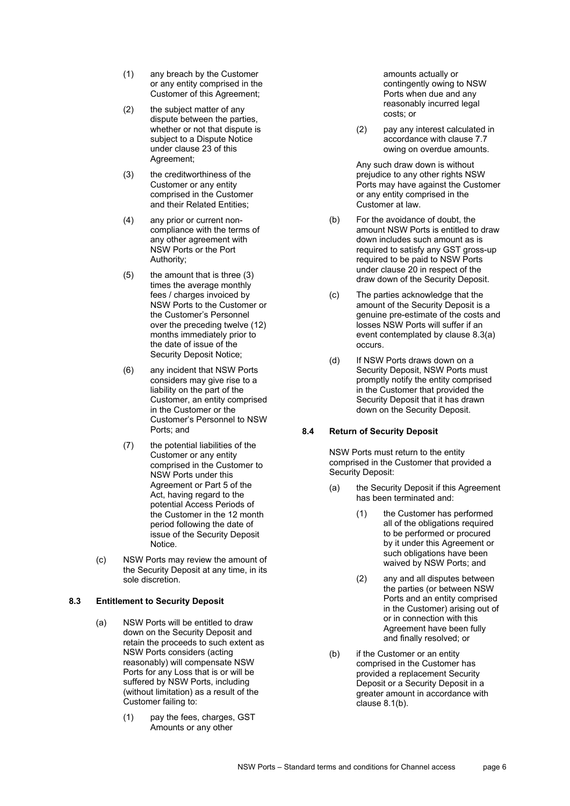- (1) any breach by the Customer or any entity comprised in the Customer of this Agreement;
- (2) the subject matter of any dispute between the parties, whether or not that dispute is subject to a Dispute Notice under clause 23 of this Agreement;
- (3) the creditworthiness of the Customer or any entity comprised in the Customer and their Related Entities;
- (4) any prior or current noncompliance with the terms of any other agreement with NSW Ports or the Port Authority;
- (5) the amount that is three (3) times the average monthly fees / charges invoiced by NSW Ports to the Customer or the Customer's Personnel over the preceding twelve (12) months immediately prior to the date of issue of the Security Deposit Notice;
- (6) any incident that NSW Ports considers may give rise to a liability on the part of the Customer, an entity comprised in the Customer or the Customer's Personnel to NSW Ports; and
- (7) the potential liabilities of the Customer or any entity comprised in the Customer to NSW Ports under this Agreement or Part 5 of the Act, having regard to the potential Access Periods of the Customer in the 12 month period following the date of issue of the Security Deposit Notice.
- (c) NSW Ports may review the amount of the Security Deposit at any time, in its sole discretion.

## <span id="page-5-2"></span><span id="page-5-1"></span>**8.3 Entitlement to Security Deposit**

- (a) NSW Ports will be entitled to draw down on the Security Deposit and retain the proceeds to such extent as NSW Ports considers (acting reasonably) will compensate NSW Ports for any Loss that is or will be suffered by NSW Ports, including (without limitation) as a result of the Customer failing to:
	- (1) pay the fees, charges, GST Amounts or any other

amounts actually or contingently owing to NSW Ports when due and any reasonably incurred legal costs; or

(2) pay any interest calculated in accordance with clause [7.7](#page-4-3) owing on overdue amounts.

Any such draw down is without prejudice to any other rights NSW Ports may have against the Customer or any entity comprised in the Customer at law.

- (b) For the avoidance of doubt, the amount NSW Ports is entitled to draw down includes such amount as is required to satisfy any GST gross-up required to be paid to NSW Ports under clause [20](#page-13-0) in respect of the draw down of the Security Deposit.
- (c) The parties acknowledge that the amount of the Security Deposit is a genuine pre-estimate of the costs and losses NSW Ports will suffer if an event contemplated by clause [8.3\(a\)](#page-5-2) occurs.
- (d) If NSW Ports draws down on a Security Deposit, NSW Ports must promptly notify the entity comprised in the Customer that provided the Security Deposit that it has drawn down on the Security Deposit.

## **8.4 Return of Security Deposit**

NSW Ports must return to the entity comprised in the Customer that provided a Security Deposit:

- <span id="page-5-0"></span>(a) the Security Deposit if this Agreement has been terminated and:
	- (1) the Customer has performed all of the obligations required to be performed or procured by it under this Agreement or such obligations have been waived by NSW Ports; and
	- (2) any and all disputes between the parties (or between NSW Ports and an entity comprised in the Customer) arising out of or in connection with this Agreement have been fully and finally resolved; or
- (b) if the Customer or an entity comprised in the Customer has provided a replacement Security Deposit or a Security Deposit in a greater amount in accordance with clause [8.1\(b\).](#page-4-1)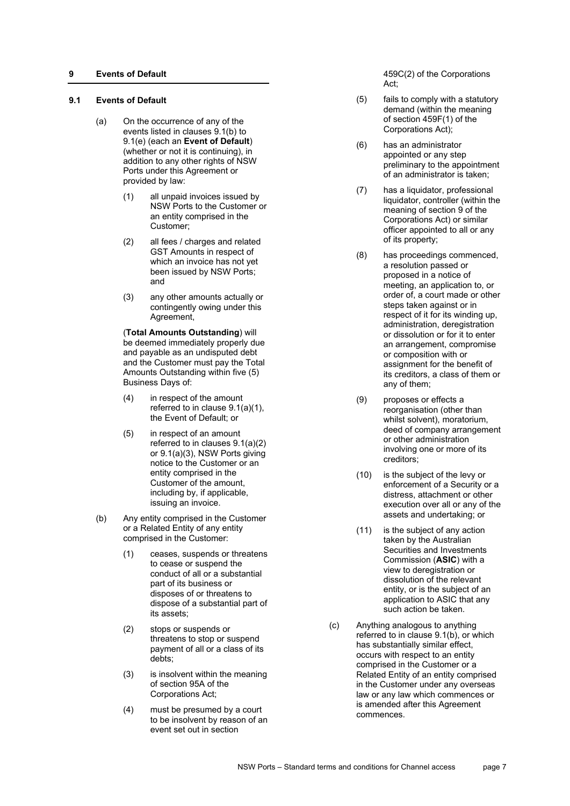## **9 Events of Default**

## <span id="page-6-4"></span>**9.1 Events of Default**

- <span id="page-6-1"></span>(a) On the occurrence of any of the events listed in clauses [9.1\(b\)](#page-6-0) to [9.1\(e\)](#page-7-0) (each an **Event of Default**) (whether or not it is continuing), in addition to any other rights of NSW Ports under this Agreement or provided by law:
	- (1) all unpaid invoices issued by NSW Ports to the Customer or an entity comprised in the Customer;
	- (2) all fees / charges and related GST Amounts in respect of which an invoice has not yet been issued by NSW Ports; and
	- (3) any other amounts actually or contingently owing under this Agreement,

<span id="page-6-3"></span><span id="page-6-2"></span>(**Total Amounts Outstanding**) will be deemed immediately properly due and payable as an undisputed debt and the Customer must pay the Total Amounts Outstanding within five (5) Business Days of:

- (4) in respect of the amount referred to in clause [9.1\(a\)\(1\),](#page-6-1) the Event of Default; or
- (5) in respect of an amount referred to in clauses [9.1\(a\)\(2\)](#page-6-2) o[r 9.1\(a\)\(3\),](#page-6-3) NSW Ports giving notice to the Customer or an entity comprised in the Customer of the amount, including by, if applicable, issuing an invoice.
- <span id="page-6-0"></span>(b) Any entity comprised in the Customer or a Related Entity of any entity comprised in the Customer:
	- (1) ceases, suspends or threatens to cease or suspend the conduct of all or a substantial part of its business or disposes of or threatens to dispose of a substantial part of its assets;
	- (2) stops or suspends or threatens to stop or suspend payment of all or a class of its debts;
	- (3) is insolvent within the meaning of section 95A of the Corporations Act;
	- (4) must be presumed by a court to be insolvent by reason of an event set out in section

459C(2) of the Corporations Act;

- (5) fails to comply with a statutory demand (within the meaning of section 459F(1) of the Corporations Act);
- (6) has an administrator appointed or any step preliminary to the appointment of an administrator is taken;
- (7) has a liquidator, professional liquidator, controller (within the meaning of section 9 of the Corporations Act) or similar officer appointed to all or any of its property;
- (8) has proceedings commenced, a resolution passed or proposed in a notice of meeting, an application to, or order of, a court made or other steps taken against or in respect of it for its winding up, administration, deregistration or dissolution or for it to enter an arrangement, compromise or composition with or assignment for the benefit of its creditors, a class of them or any of them;
- (9) proposes or effects a reorganisation (other than whilst solvent), moratorium, deed of company arrangement or other administration involving one or more of its creditors;
- (10) is the subject of the levy or enforcement of a Security or a distress, attachment or other execution over all or any of the assets and undertaking; or
- (11) is the subject of any action taken by the Australian Securities and Investments Commission (**ASIC**) with a view to deregistration or dissolution of the relevant entity, or is the subject of an application to ASIC that any such action be taken.
- (c) Anything analogous to anything referred to in clause [9.1\(b\),](#page-6-0) or which has substantially similar effect, occurs with respect to an entity comprised in the Customer or a Related Entity of an entity comprised in the Customer under any overseas law or any law which commences or is amended after this Agreement commences.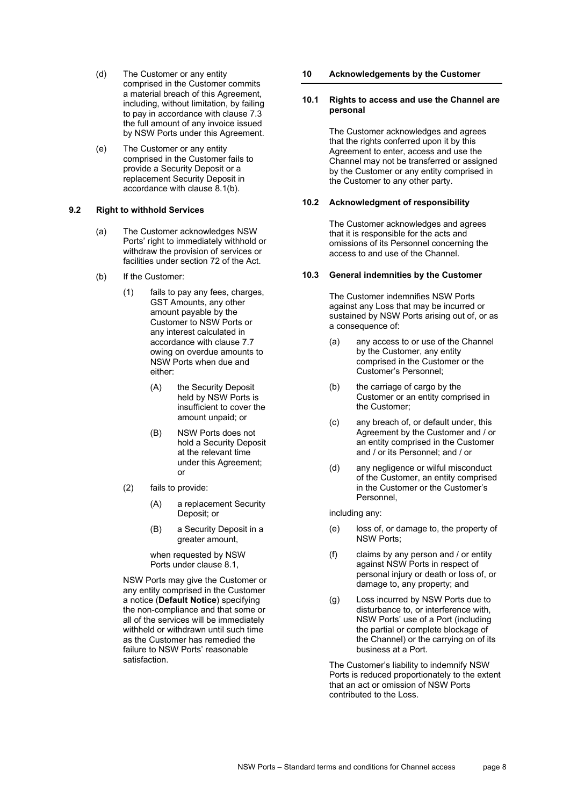- (d) The Customer or any entity comprised in the Customer commits a material breach of this Agreement, including, without limitation, by failing to pay in accordance with clause [7.3](#page-3-0) the full amount of any invoice issued by NSW Ports under this Agreement.
- <span id="page-7-0"></span>(e) The Customer or any entity comprised in the Customer fails to provide a Security Deposit or a replacement Security Deposit in accordance with clause [8.1\(b\).](#page-4-1)

#### **9.2 Right to withhold Services**

- (a) The Customer acknowledges NSW Ports' right to immediately withhold or withdraw the provision of services or facilities under section 72 of the Act.
- (b) If the Customer:
	- (1) fails to pay any fees, charges, GST Amounts, any other amount payable by the Customer to NSW Ports or any interest calculated in accordance with clause [7.7](#page-4-3) owing on overdue amounts to NSW Ports when due and either:
		- (A) the Security Deposit held by NSW Ports is insufficient to cover the amount unpaid; or
		- (B) NSW Ports does not hold a Security Deposit at the relevant time under this Agreement; or
	- (2) fails to provide:
		- (A) a replacement Security Deposit; or
		- (B) a Security Deposit in a greater amount,

when requested by NSW Ports under clause [8.1,](#page-4-4)

NSW Ports may give the Customer or any entity comprised in the Customer a notice (**Default Notice**) specifying the non-compliance and that some or all of the services will be immediately withheld or withdrawn until such time as the Customer has remedied the failure to NSW Ports' reasonable satisfaction.

## **10 Acknowledgements by the Customer**

## **10.1 Rights to access and use the Channel are personal**

The Customer acknowledges and agrees that the rights conferred upon it by this Agreement to enter, access and use the Channel may not be transferred or assigned by the Customer or any entity comprised in the Customer to any other party.

## **10.2 Acknowledgment of responsibility**

The Customer acknowledges and agrees that it is responsible for the acts and omissions of its Personnel concerning the access to and use of the Channel.

## **10.3 General indemnities by the Customer**

The Customer indemnifies NSW Ports against any Loss that may be incurred or sustained by NSW Ports arising out of, or as a consequence of:

- (a) any access to or use of the Channel by the Customer, any entity comprised in the Customer or the Customer's Personnel;
- (b) the carriage of cargo by the Customer or an entity comprised in the Customer;
- (c) any breach of, or default under, this Agreement by the Customer and / or an entity comprised in the Customer and / or its Personnel; and / or
- (d) any negligence or wilful misconduct of the Customer, an entity comprised in the Customer or the Customer's Personnel,

including any:

- (e) loss of, or damage to, the property of NSW Ports;
- (f) claims by any person and / or entity against NSW Ports in respect of personal injury or death or loss of, or damage to, any property; and
- (g) Loss incurred by NSW Ports due to disturbance to, or interference with, NSW Ports' use of a Port (including the partial or complete blockage of the Channel) or the carrying on of its business at a Port.

The Customer's liability to indemnify NSW Ports is reduced proportionately to the extent that an act or omission of NSW Ports contributed to the Loss.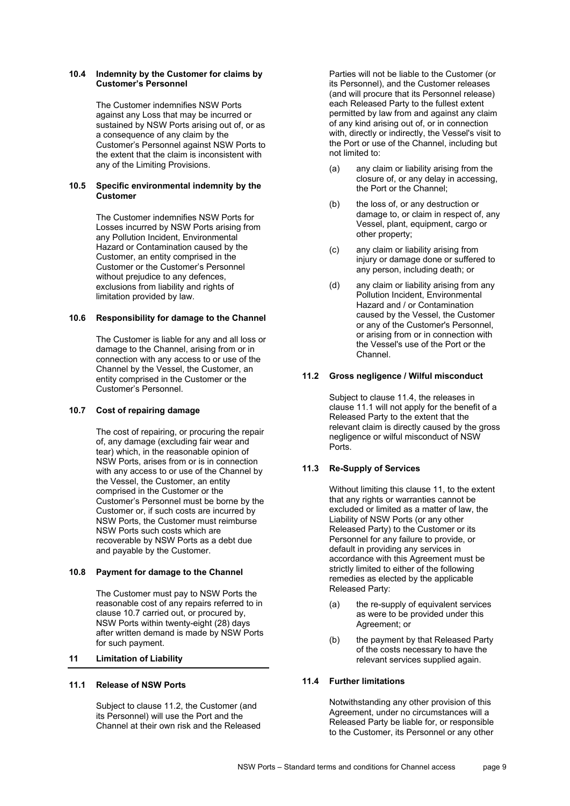#### **10.4 Indemnity by the Customer for claims by Customer's Personnel**

The Customer indemnifies NSW Ports against any Loss that may be incurred or sustained by NSW Ports arising out of, or as a consequence of any claim by the Customer's Personnel against NSW Ports to the extent that the claim is inconsistent with any of the Limiting Provisions.

## **10.5 Specific environmental indemnity by the Customer**

The Customer indemnifies NSW Ports for Losses incurred by NSW Ports arising from any Pollution Incident, Environmental Hazard or Contamination caused by the Customer, an entity comprised in the Customer or the Customer's Personnel without prejudice to any defences, exclusions from liability and rights of limitation provided by law.

## **10.6 Responsibility for damage to the Channel**

The Customer is liable for any and all loss or damage to the Channel, arising from or in connection with any access to or use of the Channel by the Vessel, the Customer, an entity comprised in the Customer or the Customer's Personnel.

#### <span id="page-8-0"></span>**10.7 Cost of repairing damage**

The cost of repairing, or procuring the repair of, any damage (excluding fair wear and tear) which, in the reasonable opinion of NSW Ports, arises from or is in connection with any access to or use of the Channel by the Vessel, the Customer, an entity comprised in the Customer or the Customer's Personnel must be borne by the Customer or, if such costs are incurred by NSW Ports, the Customer must reimburse NSW Ports such costs which are recoverable by NSW Ports as a debt due and payable by the Customer.

#### **10.8 Payment for damage to the Channel**

The Customer must pay to NSW Ports the reasonable cost of any repairs referred to in clause [10.7](#page-8-0) carried out, or procured by, NSW Ports within twenty-eight (28) days after written demand is made by NSW Ports for such payment.

## <span id="page-8-4"></span>**11 Limitation of Liability**

#### <span id="page-8-3"></span>**11.1 Release of NSW Ports**

Subject to clause [11.2,](#page-8-1) the Customer (and its Personnel) will use the Port and the Channel at their own risk and the Released Parties will not be liable to the Customer (or its Personnel), and the Customer releases (and will procure that its Personnel release) each Released Party to the fullest extent permitted by law from and against any claim of any kind arising out of, or in connection with, directly or indirectly, the Vessel's visit to the Port or use of the Channel, including but not limited to:

- (a) any claim or liability arising from the closure of, or any delay in accessing, the Port or the Channel;
- (b) the loss of, or any destruction or damage to, or claim in respect of, any Vessel, plant, equipment, cargo or other property;
- (c) any claim or liability arising from injury or damage done or suffered to any person, including death; or
- (d) any claim or liability arising from any Pollution Incident, Environmental Hazard and / or Contamination caused by the Vessel, the Customer or any of the Customer's Personnel, or arising from or in connection with the Vessel's use of the Port or the Channel.

## <span id="page-8-1"></span>**11.2 Gross negligence / Wilful misconduct**

Subject to clause [11.4,](#page-8-2) the releases in claus[e 11.1](#page-8-3) will not apply for the benefit of a Released Party to the extent that the relevant claim is directly caused by the gross negligence or wilful misconduct of NSW Ports.

## **11.3 Re-Supply of Services**

Without limiting this clause [11,](#page-8-4) to the extent that any rights or warranties cannot be excluded or limited as a matter of law, the Liability of NSW Ports (or any other Released Party) to the Customer or its Personnel for any failure to provide, or default in providing any services in accordance with this Agreement must be strictly limited to either of the following remedies as elected by the applicable Released Party:

- (a) the re-supply of equivalent services as were to be provided under this Agreement; or
- (b) the payment by that Released Party of the costs necessary to have the relevant services supplied again.

## <span id="page-8-2"></span>**11.4 Further limitations**

Notwithstanding any other provision of this Agreement, under no circumstances will a Released Party be liable for, or responsible to the Customer, its Personnel or any other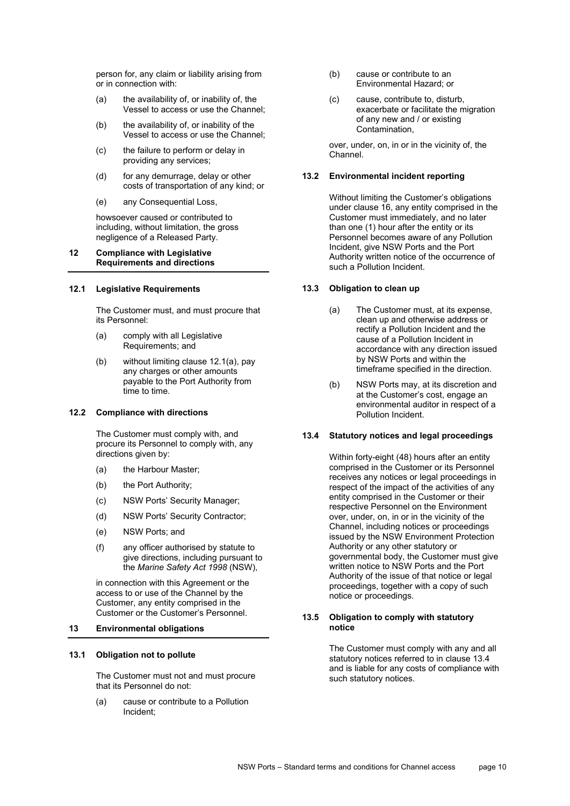person for, any claim or liability arising from or in connection with:

- (a) the availability of, or inability of, the Vessel to access or use the Channel;
- (b) the availability of, or inability of the Vessel to access or use the Channel;
- (c) the failure to perform or delay in providing any services;
- (d) for any demurrage, delay or other costs of transportation of any kind; or
- (e) any Consequential Loss,

howsoever caused or contributed to including, without limitation, the gross negligence of a Released Party.

## **12 Compliance with Legislative Requirements and directions**

## **12.1 Legislative Requirements**

The Customer must, and must procure that its Personnel:

- <span id="page-9-0"></span>(a) comply with all Legislative Requirements; and
- (b) without limiting claus[e 12.1\(a\),](#page-9-0) pay any charges or other amounts payable to the Port Authority from time to time.

#### **12.2 Compliance with directions**

The Customer must comply with, and procure its Personnel to comply with, any directions given by:

- (a) the Harbour Master;
- (b) the Port Authority;
- (c) NSW Ports' Security Manager;
- (d) NSW Ports' Security Contractor;
- (e) NSW Ports; and
- (f) any officer authorised by statute to give directions, including pursuant to the *Marine Safety Act 1998* (NSW),

in connection with this Agreement or the access to or use of the Channel by the Customer, any entity comprised in the Customer or the Customer's Personnel.

#### <span id="page-9-2"></span>**13 Environmental obligations**

#### **13.1 Obligation not to pollute**

The Customer must not and must procure that its Personnel do not:

(a) cause or contribute to a Pollution Incident;

- (b) cause or contribute to an Environmental Hazard; or
- (c) cause, contribute to, disturb, exacerbate or facilitate the migration of any new and / or existing Contamination,

over, under, on, in or in the vicinity of, the Channel.

## **13.2 Environmental incident reporting**

Without limiting the Customer's obligations under clause [16,](#page-11-0) any entity comprised in the Customer must immediately, and no later than one (1) hour after the entity or its Personnel becomes aware of any Pollution Incident, give NSW Ports and the Port Authority written notice of the occurrence of such a Pollution Incident.

## **13.3 Obligation to clean up**

- (a) The Customer must, at its expense, clean up and otherwise address or rectify a Pollution Incident and the cause of a Pollution Incident in accordance with any direction issued by NSW Ports and within the timeframe specified in the direction.
- (b) NSW Ports may, at its discretion and at the Customer's cost, engage an environmental auditor in respect of a Pollution Incident.

## <span id="page-9-1"></span>**13.4 Statutory notices and legal proceedings**

Within forty-eight (48) hours after an entity comprised in the Customer or its Personnel receives any notices or legal proceedings in respect of the impact of the activities of any entity comprised in the Customer or their respective Personnel on the Environment over, under, on, in or in the vicinity of the Channel, including notices or proceedings issued by the NSW Environment Protection Authority or any other statutory or governmental body, the Customer must give written notice to NSW Ports and the Port Authority of the issue of that notice or legal proceedings, together with a copy of such notice or proceedings.

#### **13.5 Obligation to comply with statutory notice**

The Customer must comply with any and all statutory notices referred to in clause [13.4](#page-9-1) and is liable for any costs of compliance with such statutory notices.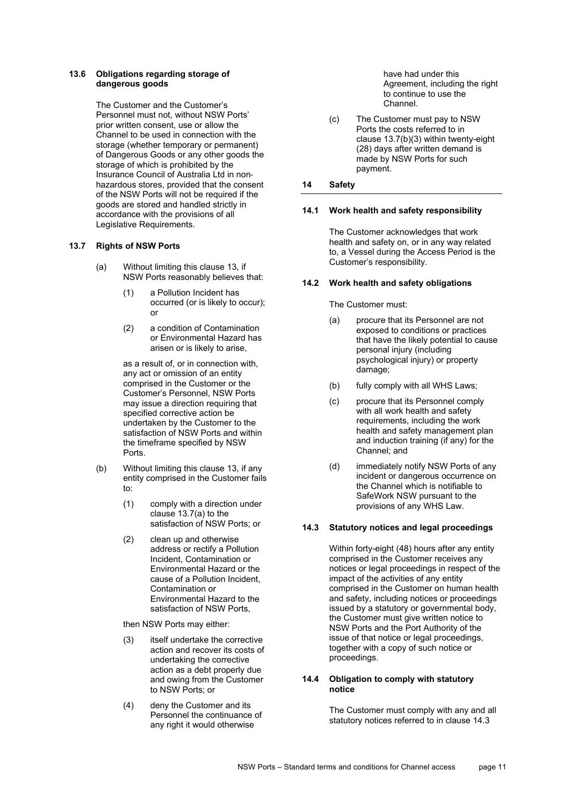## **13.6 Obligations regarding storage of dangerous goods**

The Customer and the Customer's Personnel must not, without NSW Ports' prior written consent, use or allow the Channel to be used in connection with the storage (whether temporary or permanent) of Dangerous Goods or any other goods the storage of which is prohibited by the Insurance Council of Australia Ltd in non‐ hazardous stores, provided that the consent of the NSW Ports will not be required if the goods are stored and handled strictly in accordance with the provisions of all Legislative Requirements.

## <span id="page-10-0"></span>**13.7 Rights of NSW Ports**

- (a) Without limiting this clause [13,](#page-9-2) if NSW Ports reasonably believes that:
	- (1) a Pollution Incident has occurred (or is likely to occur); or
	- (2) a condition of Contamination or Environmental Hazard has arisen or is likely to arise,

as a result of, or in connection with, any act or omission of an entity comprised in the Customer or the Customer's Personnel, NSW Ports may issue a direction requiring that specified corrective action be undertaken by the Customer to the satisfaction of NSW Ports and within the timeframe specified by NSW Ports.

- (b) Without limiting this clause [13,](#page-9-2) if any entity comprised in the Customer fails to:
	- (1) comply with a direction under clause [13.7\(a\)](#page-10-0) to the satisfaction of NSW Ports; or
	- (2) clean up and otherwise address or rectify a Pollution Incident, Contamination or Environmental Hazard or the cause of a Pollution Incident, Contamination or Environmental Hazard to the satisfaction of NSW Ports,

then NSW Ports may either:

- <span id="page-10-1"></span>(3) itself undertake the corrective action and recover its costs of undertaking the corrective action as a debt properly due and owing from the Customer to NSW Ports; or
- (4) deny the Customer and its Personnel the continuance of any right it would otherwise

have had under this Agreement, including the right to continue to use the Channel.

(c) The Customer must pay to NSW Ports the costs referred to in clause [13.7\(b\)\(3\)](#page-10-1) within twenty-eight (28) days after written demand is made by NSW Ports for such payment.

## **14 Safety**

## **14.1 Work health and safety responsibility**

The Customer acknowledges that work health and safety on, or in any way related to, a Vessel during the Access Period is the Customer's responsibility.

## **14.2 Work health and safety obligations**

The Customer must:

- (a) procure that its Personnel are not exposed to conditions or practices that have the likely potential to cause personal injury (including psychological injury) or property damage;
- (b) fully comply with all WHS Laws;
- (c) procure that its Personnel comply with all work health and safety requirements, including the work health and safety management plan and induction training (if any) for the Channel; and
- (d) immediately notify NSW Ports of any incident or dangerous occurrence on the Channel which is notifiable to SafeWork NSW pursuant to the provisions of any WHS Law.

## <span id="page-10-2"></span>**14.3 Statutory notices and legal proceedings**

Within forty-eight (48) hours after any entity comprised in the Customer receives any notices or legal proceedings in respect of the impact of the activities of any entity comprised in the Customer on human health and safety, including notices or proceedings issued by a statutory or governmental body, the Customer must give written notice to NSW Ports and the Port Authority of the issue of that notice or legal proceedings, together with a copy of such notice or proceedings.

## **14.4 Obligation to comply with statutory notice**

The Customer must comply with any and all statutory notices referred to in clause [14.3](#page-10-2)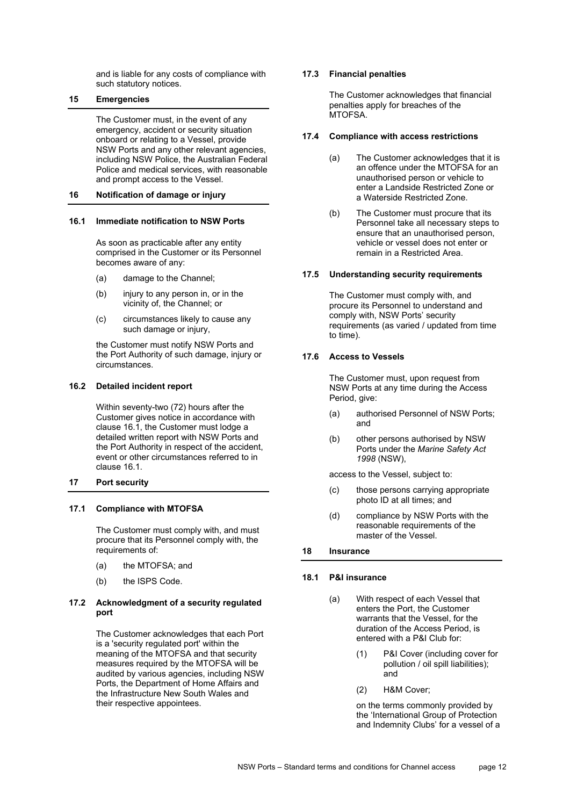and is liable for any costs of compliance with such statutory notices.

## **15 Emergencies**

The Customer must, in the event of any emergency, accident or security situation onboard or relating to a Vessel, provide NSW Ports and any other relevant agencies, including NSW Police, the Australian Federal Police and medical services, with reasonable and prompt access to the Vessel.

### <span id="page-11-0"></span>**16 Notification of damage or injury**

#### <span id="page-11-1"></span>**16.1 Immediate notification to NSW Ports**

As soon as practicable after any entity comprised in the Customer or its Personnel becomes aware of any:

- (a) damage to the Channel;
- (b) injury to any person in, or in the vicinity of, the Channel; or
- (c) circumstances likely to cause any such damage or injury,

the Customer must notify NSW Ports and the Port Authority of such damage, injury or circumstances.

#### **16.2 Detailed incident report**

Within seventy-two (72) hours after the Customer gives notice in accordance with clause [16.1,](#page-11-1) the Customer must lodge a detailed written report with NSW Ports and the Port Authority in respect of the accident, event or other circumstances referred to in clause [16.1.](#page-11-1) 

#### **17 Port security**

## **17.1 Compliance with MTOFSA**

The Customer must comply with, and must procure that its Personnel comply with, the requirements of:

- (a) the MTOFSA; and
- (b) the ISPS Code.

## **17.2 Acknowledgment of a security regulated port**

The Customer acknowledges that each Port is a 'security regulated port' within the meaning of the MTOFSA and that security measures required by the MTOFSA will be audited by various agencies, including NSW Ports, the Department of Home Affairs and the Infrastructure New South Wales and their respective appointees.

#### **17.3 Financial penalties**

The Customer acknowledges that financial penalties apply for breaches of the MTOFSA.

#### **17.4 Compliance with access restrictions**

- (a) The Customer acknowledges that it is an offence under the MTOFSA for an unauthorised person or vehicle to enter a Landside Restricted Zone or a Waterside Restricted Zone.
- (b) The Customer must procure that its Personnel take all necessary steps to ensure that an unauthorised person, vehicle or vessel does not enter or remain in a Restricted Area.

#### **17.5 Understanding security requirements**

The Customer must comply with, and procure its Personnel to understand and comply with, NSW Ports' security requirements (as varied / updated from time to time).

#### **17.6 Access to Vessels**

The Customer must, upon request from NSW Ports at any time during the Access Period, give:

- (a) authorised Personnel of NSW Ports; and
- (b) other persons authorised by NSW Ports under the *Marine Safety Act 1998* (NSW),

access to the Vessel, subject to:

- (c) those persons carrying appropriate photo ID at all times; and
- (d) compliance by NSW Ports with the reasonable requirements of the master of the Vessel.

#### **18 Insurance**

#### **18.1 P&I insurance**

- (a) With respect of each Vessel that enters the Port, the Customer warrants that the Vessel, for the duration of the Access Period, is entered with a P&I Club for:
	- (1) P&I Cover (including cover for pollution / oil spill liabilities); and
	- (2) H&M Cover;

on the terms commonly provided by the 'International Group of Protection and Indemnity Clubs' for a vessel of a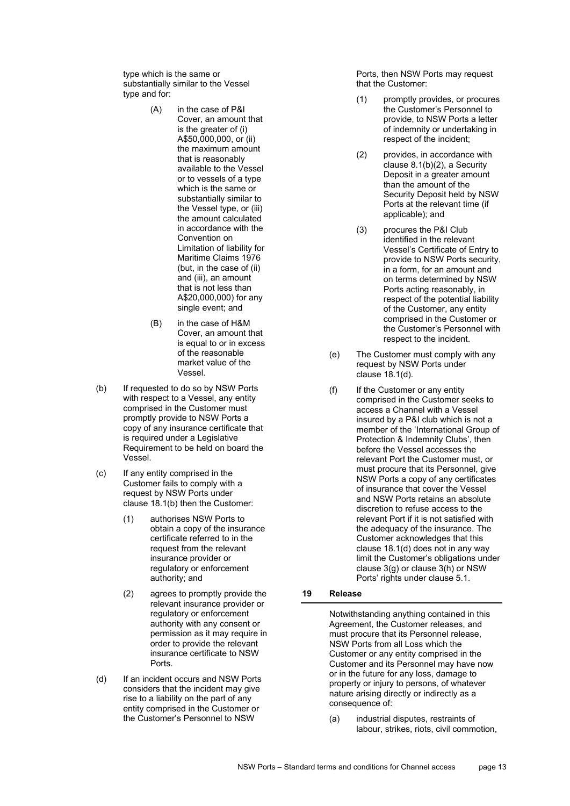type which is the same or substantially similar to the Vessel type and for:

- (A) in the case of P&I Cover, an amount that is the greater of (i) A\$50,000,000, or (ii) the maximum amount that is reasonably available to the Vessel or to vessels of a type which is the same or substantially similar to the Vessel type, or (iii) the amount calculated in accordance with the Convention on Limitation of liability for Maritime Claims 1976 (but, in the case of (ii) and (iii), an amount that is not less than A\$20,000,000) for any single event; and
- (B) in the case of H&M Cover, an amount that is equal to or in excess of the reasonable market value of the Vessel.
- <span id="page-12-0"></span>(b) If requested to do so by NSW Ports with respect to a Vessel, any entity comprised in the Customer must promptly provide to NSW Ports a copy of any insurance certificate that is required under a Legislative Requirement to be held on board the Vessel.
- (c) If any entity comprised in the Customer fails to comply with a request by NSW Ports under clause [18.1\(b\)](#page-12-0) then the Customer:
	- (1) authorises NSW Ports to obtain a copy of the insurance certificate referred to in the request from the relevant insurance provider or regulatory or enforcement authority; and
	- (2) agrees to promptly provide the relevant insurance provider or regulatory or enforcement authority with any consent or permission as it may require in order to provide the relevant insurance certificate to NSW Ports.
- <span id="page-12-1"></span>(d) If an incident occurs and NSW Ports considers that the incident may give rise to a liability on the part of any entity comprised in the Customer or the Customer's Personnel to NSW

Ports, then NSW Ports may request that the Customer:

- (1) promptly provides, or procures the Customer's Personnel to provide, to NSW Ports a letter of indemnity or undertaking in respect of the incident;
- (2) provides, in accordance with clause [8.1\(b\)\(2\),](#page-4-5) a Security Deposit in a greater amount than the amount of the Security Deposit held by NSW Ports at the relevant time (if applicable); and
- (3) procures the P&I Club identified in the relevant Vessel's Certificate of Entry to provide to NSW Ports security, in a form, for an amount and on terms determined by NSW Ports acting reasonably, in respect of the potential liability of the Customer, any entity comprised in the Customer or the Customer's Personnel with respect to the incident.
- (e) The Customer must comply with any request by NSW Ports under clause [18.1\(d\).](#page-12-1)
- (f) If the Customer or any entity comprised in the Customer seeks to access a Channel with a Vessel insured by a P&I club which is not a member of the 'International Group of Protection & Indemnity Clubs', then before the Vessel accesses the relevant Port the Customer must, or must procure that its Personnel, give NSW Ports a copy of any certificates of insurance that cover the Vessel and NSW Ports retains an absolute discretion to refuse access to the relevant Port if it is not satisfied with the adequacy of the insurance. The Customer acknowledges that this clause [18.1\(d\)](#page-12-1) does not in any way limit the Customer's obligations under clause [3\(g\)](#page-1-0) or clause [3\(h\)](#page-1-2) or NSW Ports' rights under clause [5.1.](#page-2-0)
- **19 Release**

Notwithstanding anything contained in this Agreement, the Customer releases, and must procure that its Personnel release, NSW Ports from all Loss which the Customer or any entity comprised in the Customer and its Personnel may have now or in the future for any loss, damage to property or injury to persons, of whatever nature arising directly or indirectly as a consequence of:

(a) industrial disputes, restraints of labour, strikes, riots, civil commotion,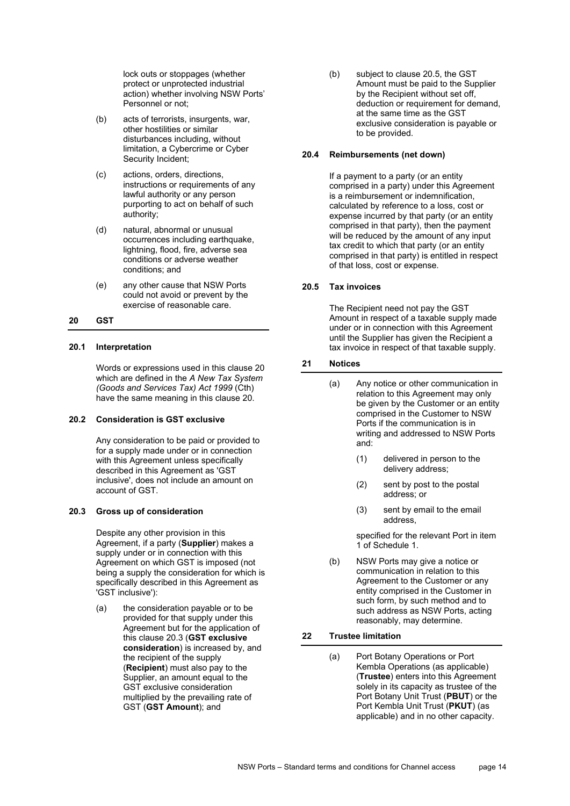lock outs or stoppages (whether protect or unprotected industrial action) whether involving NSW Ports' Personnel or not;

- (b) acts of terrorists, insurgents, war, other hostilities or similar disturbances including, without limitation, a Cybercrime or Cyber Security Incident;
- (c) actions, orders, directions, instructions or requirements of any lawful authority or any person purporting to act on behalf of such authority;
- (d) natural, abnormal or unusual occurrences including earthquake, lightning, flood, fire, adverse sea conditions or adverse weather conditions; and
- (e) any other cause that NSW Ports could not avoid or prevent by the exercise of reasonable care.

#### <span id="page-13-0"></span>**20 GST**

#### **20.1 Interpretation**

Words or expressions used in this clause [20](#page-13-0) which are defined in the *A New Tax System (Goods and Services Tax) Act 1999* (Cth) have the same meaning in this clause [20.](#page-13-0) 

#### **20.2 Consideration is GST exclusive**

Any consideration to be paid or provided to for a supply made under or in connection with this Agreement unless specifically described in this Agreement as ʹGST inclusiveʹ, does not include an amount on account of GST.

## <span id="page-13-1"></span>**20.3 Gross up of consideration**

Despite any other provision in this Agreement, if a party (**Supplier**) makes a supply under or in connection with this Agreement on which GST is imposed (not being a supply the consideration for which is specifically described in this Agreement as ʹGST inclusiveʹ):

<span id="page-13-3"></span>(a) the consideration payable or to be provided for that supply under this Agreement but for the application of this claus[e 20.3](#page-13-1) (**GST exclusive consideration**) is increased by, and the recipient of the supply (**Recipient**) must also pay to the Supplier, an amount equal to the GST exclusive consideration multiplied by the prevailing rate of GST (**GST Amount**); and

(b) subject to clause [20.5,](#page-13-2) the GST Amount must be paid to the Supplier by the Recipient without set off, deduction or requirement for demand, at the same time as the GST exclusive consideration is payable or to be provided.

## **20.4 Reimbursements (net down)**

If a payment to a party (or an entity comprised in a party) under this Agreement is a reimbursement or indemnification, calculated by reference to a loss, cost or expense incurred by that party (or an entity comprised in that party), then the payment will be reduced by the amount of any input tax credit to which that party (or an entity comprised in that party) is entitled in respect of that loss, cost or expense.

## <span id="page-13-2"></span>**20.5 Tax invoices**

The Recipient need not pay the GST Amount in respect of a taxable supply made under or in connection with this Agreement until the Supplier has given the Recipient a tax invoice in respect of that taxable supply.

## **21 Notices**

- (a) Any notice or other communication in relation to this Agreement may only be given by the Customer or an entity comprised in the Customer to NSW Ports if the communication is in writing and addressed to NSW Ports and:
	- (1) delivered in person to the delivery address;
	- (2) sent by post to the postal address; or
	- (3) sent by email to the email address,

specified for the relevant Port in item 1 of [Schedule 1.](#page-17-0)

(b) NSW Ports may give a notice or communication in relation to this Agreement to the Customer or any entity comprised in the Customer in such form, by such method and to such address as NSW Ports, acting reasonably, may determine.

## **22 Trustee limitation**

(a) Port Botany Operations or Port Kembla Operations (as applicable) (**Trustee**) enters into this Agreement solely in its capacity as trustee of the Port Botany Unit Trust (**PBUT**) or the Port Kembla Unit Trust (**PKUT**) (as applicable) and in no other capacity.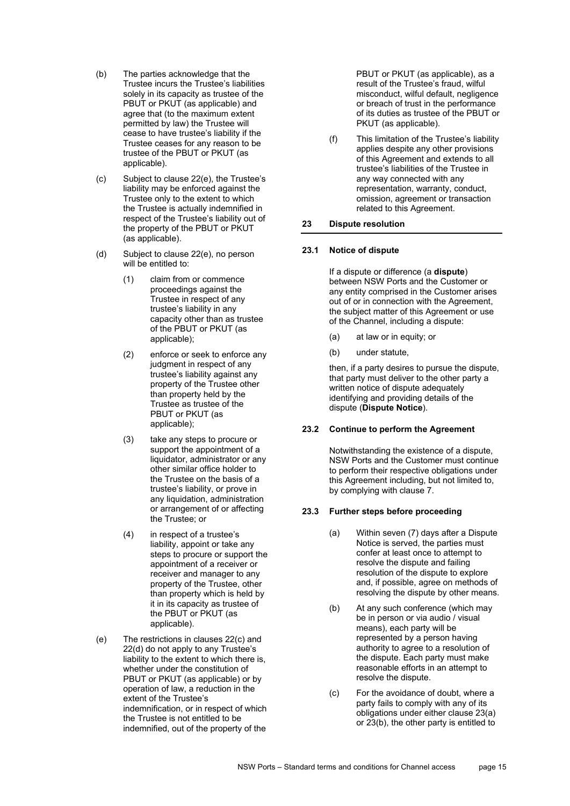- (b) The parties acknowledge that the Trustee incurs the Trustee's liabilities solely in its capacity as trustee of the PBUT or PKUT (as applicable) and agree that (to the maximum extent permitted by law) the Trustee will cease to have trustee's liability if the Trustee ceases for any reason to be trustee of the PBUT or PKUT (as applicable).
- <span id="page-14-2"></span>(c) Subject to claus[e 22\(e\),](#page-14-1) the Trustee's liability may be enforced against the Trustee only to the extent to which the Trustee is actually indemnified in respect of the Trustee's liability out of the property of the PBUT or PKUT (as applicable).
- <span id="page-14-3"></span>(d) Subject to claus[e 22\(e\),](#page-14-1) no person will be entitled to:
	- (1) claim from or commence proceedings against the Trustee in respect of any trustee's liability in any capacity other than as trustee of the PBUT or PKUT (as applicable);
	- (2) enforce or seek to enforce any judgment in respect of any trustee's liability against any property of the Trustee other than property held by the Trustee as trustee of the PBUT or PKUT (as applicable);
	- (3) take any steps to procure or support the appointment of a liquidator, administrator or any other similar office holder to the Trustee on the basis of a trustee's liability, or prove in any liquidation, administration or arrangement of or affecting the Trustee; or
	- (4) in respect of a trustee's liability, appoint or take any steps to procure or support the appointment of a receiver or receiver and manager to any property of the Trustee, other than property which is held by it in its capacity as trustee of the PBUT or PKUT (as applicable).
- <span id="page-14-1"></span>(e) The restrictions in clauses [22\(c\)](#page-14-2) and [22\(d\)](#page-14-3) do not apply to any Trustee's liability to the extent to which there is, whether under the constitution of PBUT or PKUT (as applicable) or by operation of law, a reduction in the extent of the Trustee's indemnification, or in respect of which the Trustee is not entitled to be indemnified, out of the property of the

PBUT or PKUT (as applicable), as a result of the Trustee's fraud, wilful misconduct, wilful default, negligence or breach of trust in the performance of its duties as trustee of the PBUT or PKUT (as applicable).

(f) This limitation of the Trustee's liability applies despite any other provisions of this Agreement and extends to all trustee's liabilities of the Trustee in any way connected with any representation, warranty, conduct, omission, agreement or transaction related to this Agreement.

## <span id="page-14-0"></span>**23 Dispute resolution**

## <span id="page-14-5"></span>**23.1 Notice of dispute**

If a dispute or difference (a **dispute**) between NSW Ports and the Customer or any entity comprised in the Customer arises out of or in connection with the Agreement, the subject matter of this Agreement or use of the Channel, including a dispute:

- (a) at law or in equity; or
- (b) under statute,

then, if a party desires to pursue the dispute, that party must deliver to the other party a written notice of dispute adequately identifying and providing details of the dispute (**Dispute Notice**).

## **23.2 Continue to perform the Agreement**

Notwithstanding the existence of a dispute, NSW Ports and the Customer must continue to perform their respective obligations under this Agreement including, but not limited to, by complying with clause [7.](#page-3-1)

## <span id="page-14-4"></span>**23.3 Further steps before proceeding**

- (a) Within seven (7) days after a Dispute Notice is served, the parties must confer at least once to attempt to resolve the dispute and failing resolution of the dispute to explore and, if possible, agree on methods of resolving the dispute by other means.
- (b) At any such conference (which may be in person or via audio / visual means), each party will be represented by a person having authority to agree to a resolution of the dispute. Each party must make reasonable efforts in an attempt to resolve the dispute.
- (c) For the avoidance of doubt, where a party fails to comply with any of its obligations under either clause 23(a) or 23(b), the other party is entitled to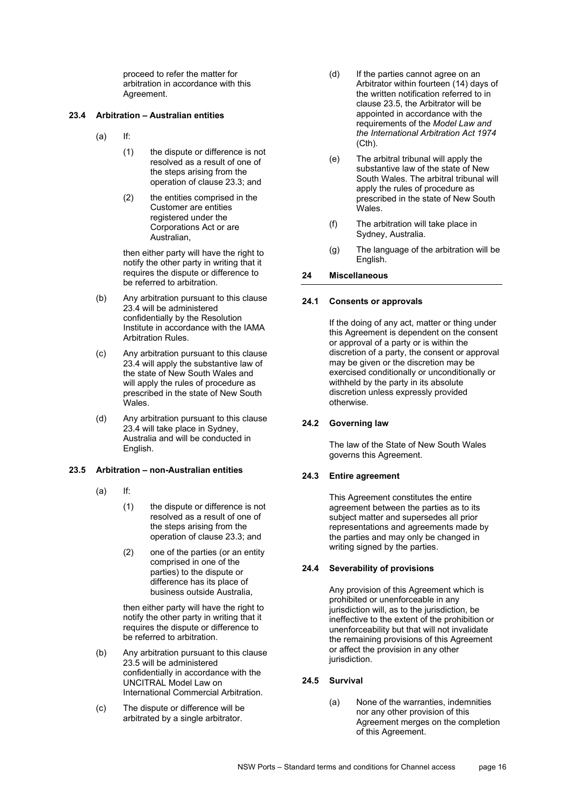proceed to refer the matter for arbitration in accordance with this Agreement.

## <span id="page-15-0"></span>**23.4 Arbitration – Australian entities**

- (a) If:
	- (1) the dispute or difference is not resolved as a result of one of the steps arising from the operation of claus[e 23.3;](#page-14-4) and
	- (2) the entities comprised in the Customer are entities registered under the Corporations Act or are Australian,

then either party will have the right to notify the other party in writing that it requires the dispute or difference to be referred to arbitration.

- (b) Any arbitration pursuant to this clause [23.4](#page-15-0) will be administered confidentially by the Resolution Institute in accordance with the IAMA Arbitration Rules.
- (c) Any arbitration pursuant to this clause [23.4](#page-15-0) will apply the substantive law of the state of New South Wales and will apply the rules of procedure as prescribed in the state of New South Wales.
- (d) Any arbitration pursuant to this clause [23.4](#page-15-0) will take place in Sydney, Australia and will be conducted in English.

## <span id="page-15-1"></span>**23.5 Arbitration – non-Australian entities**

- (a) If:
	- (1) the dispute or difference is not resolved as a result of one of the steps arising from the operation of claus[e 23.3;](#page-14-4) and
	- (2) one of the parties (or an entity comprised in one of the parties) to the dispute or difference has its place of business outside Australia,

then either party will have the right to notify the other party in writing that it requires the dispute or difference to be referred to arbitration.

- (b) Any arbitration pursuant to this clause [23.5](#page-15-1) will be administered confidentially in accordance with the UNCITRAL Model Law on International Commercial Arbitration.
- (c) The dispute or difference will be arbitrated by a single arbitrator.
- (d) If the parties cannot agree on an Arbitrator within fourteen (14) days of the written notification referred to in clause [23.5,](#page-15-1) the Arbitrator will be appointed in accordance with the requirements of the *Model Law and the International Arbitration Act 1974* (Cth).
- (e) The arbitral tribunal will apply the substantive law of the state of New South Wales. The arbitral tribunal will apply the rules of procedure as prescribed in the state of New South Wales.
- (f) The arbitration will take place in Sydney, Australia.
- (g) The language of the arbitration will be English.

## **24 Miscellaneous**

#### **24.1 Consents or approvals**

If the doing of any act, matter or thing under this Agreement is dependent on the consent or approval of a party or is within the discretion of a party, the consent or approval may be given or the discretion may be exercised conditionally or unconditionally or withheld by the party in its absolute discretion unless expressly provided otherwise.

#### **24.2 Governing law**

The law of the State of New South Wales governs this Agreement.

#### **24.3 Entire agreement**

This Agreement constitutes the entire agreement between the parties as to its subject matter and supersedes all prior representations and agreements made by the parties and may only be changed in writing signed by the parties.

#### **24.4 Severability of provisions**

Any provision of this Agreement which is prohibited or unenforceable in any jurisdiction will, as to the jurisdiction, be ineffective to the extent of the prohibition or unenforceability but that will not invalidate the remaining provisions of this Agreement or affect the provision in any other jurisdiction.

#### **24.5 Survival**

(a) None of the warranties, indemnities nor any other provision of this Agreement merges on the completion of this Agreement.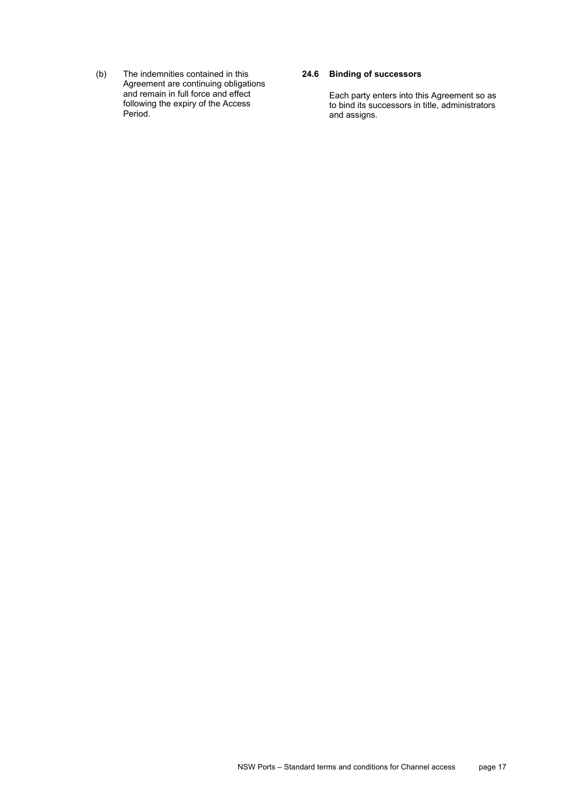(b) The indemnities contained in this Agreement are continuing obligations and remain in full force and effect following the expiry of the Access Period.

## **24.6 Binding of successors**

Each party enters into this Agreement so as to bind its successors in title, administrators and assigns.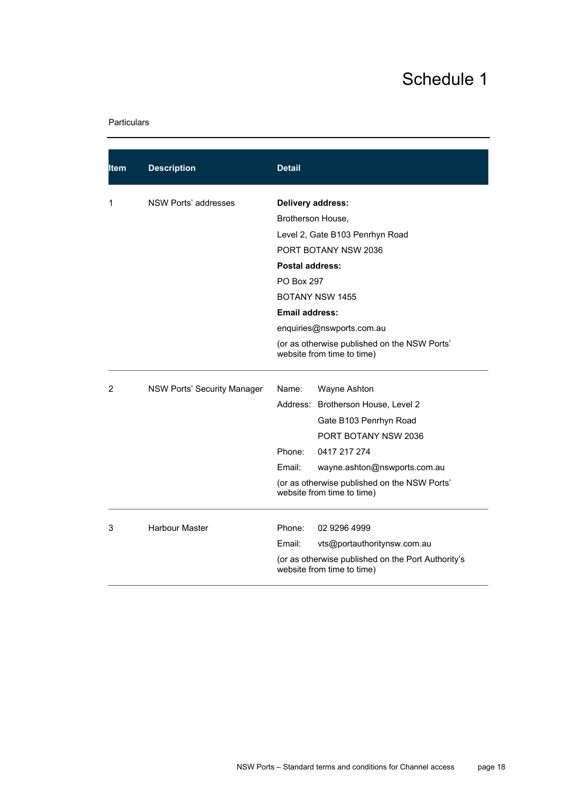# Schedule 1

## <span id="page-17-0"></span>Particulars

| ltem | <b>Description</b>          | <b>Detail</b>                                                                                                                                       |                                                                                  |  |
|------|-----------------------------|-----------------------------------------------------------------------------------------------------------------------------------------------------|----------------------------------------------------------------------------------|--|
| 1    | NSW Ports' addresses        | Delivery address:<br>Brotherson House,                                                                                                              |                                                                                  |  |
|      |                             |                                                                                                                                                     |                                                                                  |  |
|      |                             |                                                                                                                                                     | Level 2, Gate B103 Penrhyn Road                                                  |  |
|      |                             |                                                                                                                                                     | PORT BOTANY NSW 2036                                                             |  |
|      |                             | <b>Postal address:</b>                                                                                                                              |                                                                                  |  |
|      |                             |                                                                                                                                                     | PO Box 297                                                                       |  |
|      |                             | <b>BOTANY NSW 1455</b><br>Email address:<br>enquiries@nswports.com.au<br>(or as otherwise published on the NSW Ports'<br>website from time to time) |                                                                                  |  |
|      |                             |                                                                                                                                                     |                                                                                  |  |
|      |                             |                                                                                                                                                     |                                                                                  |  |
|      |                             |                                                                                                                                                     |                                                                                  |  |
| 2    | NSW Ports' Security Manager | Name:                                                                                                                                               | Wayne Ashton                                                                     |  |
|      |                             |                                                                                                                                                     | Address: Brotherson House, Level 2                                               |  |
|      |                             |                                                                                                                                                     | Gate B103 Penrhyn Road                                                           |  |
|      |                             |                                                                                                                                                     | PORT BOTANY NSW 2036                                                             |  |
|      |                             | Phone:                                                                                                                                              | 0417 217 274                                                                     |  |
|      |                             | Email:                                                                                                                                              | wayne.ashton@nswports.com.au                                                     |  |
|      |                             |                                                                                                                                                     | (or as otherwise published on the NSW Ports'<br>website from time to time)       |  |
| 3    | <b>Harbour Master</b>       | Phone:                                                                                                                                              | 02 9296 4999                                                                     |  |
|      |                             | Email:                                                                                                                                              | vts@portauthoritynsw.com.au                                                      |  |
|      |                             |                                                                                                                                                     | (or as otherwise published on the Port Authority's<br>website from time to time) |  |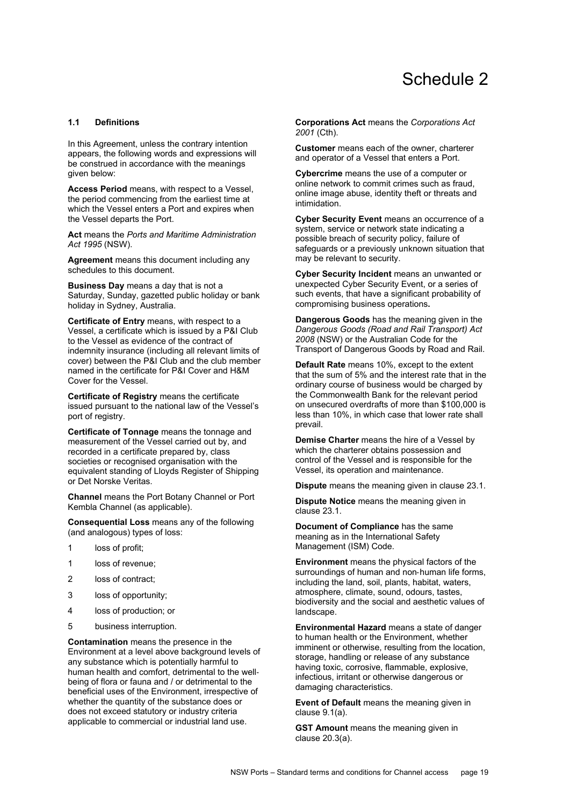## Schedule 2

### <span id="page-18-0"></span>**1.1 Definitions**

In this Agreement, unless the contrary intention appears, the following words and expressions will be construed in accordance with the meanings given below:

**Access Period** means, with respect to a Vessel, the period commencing from the earliest time at which the Vessel enters a Port and expires when the Vessel departs the Port.

**Act** means the *Ports and Maritime Administration Act 1995* (NSW).

**Agreement** means this document including any schedules to this document.

**Business Day** means a day that is not a Saturday, Sunday, gazetted public holiday or bank holiday in Sydney, Australia.

**Certificate of Entry** means, with respect to a Vessel, a certificate which is issued by a P&I Club to the Vessel as evidence of the contract of indemnity insurance (including all relevant limits of cover) between the P&I Club and the club member named in the certificate for P&I Cover and H&M Cover for the Vessel.

**Certificate of Registry** means the certificate issued pursuant to the national law of the Vessel's port of registry.

**Certificate of Tonnage** means the tonnage and measurement of the Vessel carried out by, and recorded in a certificate prepared by, class societies or recognised organisation with the equivalent standing of Lloyds Register of Shipping or Det Norske Veritas.

**Channel** means the Port Botany Channel or Port Kembla Channel (as applicable).

**Consequential Loss** means any of the following (and analogous) types of loss:

- 1 loss of profit;
- 1 loss of revenue:
- 2 loss of contract;
- 3 loss of opportunity;
- 4 loss of production; or
- 5 business interruption.

**Contamination** means the presence in the Environment at a level above background levels of any substance which is potentially harmful to human health and comfort, detrimental to the well‐ being of flora or fauna and / or detrimental to the beneficial uses of the Environment, irrespective of whether the quantity of the substance does or does not exceed statutory or industry criteria applicable to commercial or industrial land use.

**Corporations Act** means the *Corporations Act 2001* (Cth).

**Customer** means each of the owner, charterer and operator of a Vessel that enters a Port.

**Cybercrime** means the use of a computer or online network to commit crimes such as fraud, online image abuse, identity theft or threats and intimidation.

**Cyber Security Event** means an occurrence of a system, service or network state indicating a possible breach of security policy, failure of safeguards or a previously unknown situation that may be relevant to security.

**Cyber Security Incident** means an unwanted or unexpected Cyber Security Event, or a series of such events, that have a significant probability of compromising business operations**.**

**Dangerous Goods** has the meaning given in the *Dangerous Goods (Road and Rail Transport) Act 2008* (NSW) or the Australian Code for the Transport of Dangerous Goods by Road and Rail.

**Default Rate** means 10%, except to the extent that the sum of 5% and the interest rate that in the ordinary course of business would be charged by the Commonwealth Bank for the relevant period on unsecured overdrafts of more than \$100,000 is less than 10%, in which case that lower rate shall prevail.

**Demise Charter** means the hire of a Vessel by which the charterer obtains possession and control of the Vessel and is responsible for the Vessel, its operation and maintenance.

**Dispute** means the meaning given in clause [23.1.](#page-14-5)

**Dispute Notice** means the meaning given in clause [23.1.](#page-14-5)

**Document of Compliance** has the same meaning as in the International Safety Management (ISM) Code.

**Environment** means the physical factors of the surroundings of human and non-human life forms. including the land, soil, plants, habitat, waters, atmosphere, climate, sound, odours, tastes, biodiversity and the social and aesthetic values of landscape.

**Environmental Hazard** means a state of danger to human health or the Environment, whether imminent or otherwise, resulting from the location, storage, handling or release of any substance having toxic, corrosive, flammable, explosive, infectious, irritant or otherwise dangerous or damaging characteristics.

**Event of Default** means the meaning given in clause [9.1\(a\).](#page-6-4)

**GST Amount** means the meaning given in clause [20.3\(a\).](#page-13-3)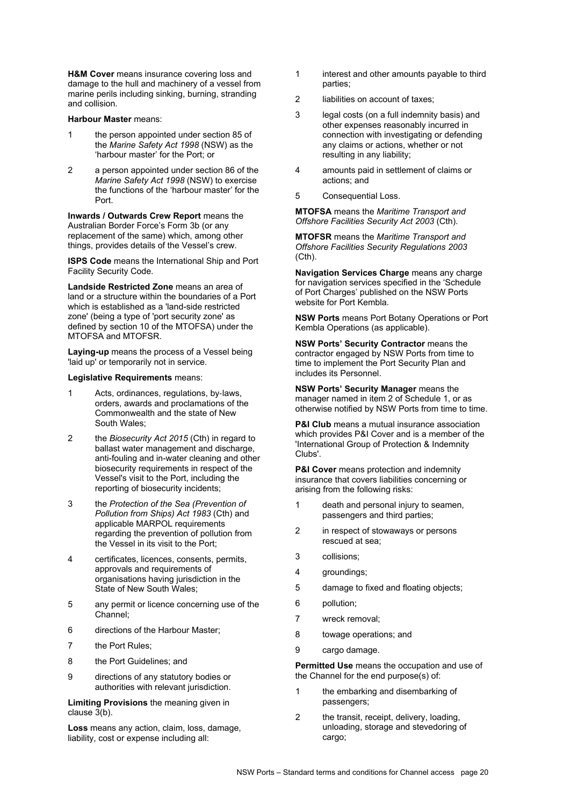**H&M Cover** means insurance covering loss and damage to the hull and machinery of a vessel from marine perils including sinking, burning, stranding and collision.

#### **Harbour Master** means:

- 1 the person appointed under section 85 of the *Marine Safety Act 1998* (NSW) as the 'harbour master' for the Port; or
- 2 a person appointed under section 86 of the *Marine Safety Act 1998* (NSW) to exercise the functions of the 'harbour master' for the Port.

**Inwards / Outwards Crew Report** means the Australian Border Force's Form 3b (or any replacement of the same) which, among other things, provides details of the Vessel's crew.

**ISPS Code** means the International Ship and Port Facility Security Code.

**Landside Restricted Zone** means an area of land or a structure within the boundaries of a Port which is established as a 'land-side restricted zone' (being a type of 'port security zone' as defined by section 10 of the MTOFSA) under the MTOFSA and MTOFSR.

**Laying-up** means the process of a Vessel being 'laid up' or temporarily not in service.

#### **Legislative Requirements** means:

- 1 Acts, ordinances, regulations, by‐laws, orders, awards and proclamations of the Commonwealth and the state of New South Wales;
- 2 the *Biosecurity Act 2015* (Cth) in regard to ballast water management and discharge, anti-fouling and in-water cleaning and other biosecurity requirements in respect of the Vessel's visit to the Port, including the reporting of biosecurity incidents;
- 3 the *Protection of the Sea (Prevention of Pollution from Ships) Act 1983* (Cth) and applicable MARPOL requirements regarding the prevention of pollution from the Vessel in its visit to the Port;
- 4 certificates, licences, consents, permits, approvals and requirements of organisations having jurisdiction in the State of New South Wales;
- 5 any permit or licence concerning use of the Channel;
- 6 directions of the Harbour Master;
- 7 the Port Rules;
- 8 the Port Guidelines; and
- 9 directions of any statutory bodies or authorities with relevant jurisdiction.

**Limiting Provisions** the meaning given in clause [3\(b\).](#page-0-0) 

**Loss** means any action, claim, loss, damage, liability, cost or expense including all:

- 1 interest and other amounts payable to third parties;
- 2 liabilities on account of taxes;
- 3 legal costs (on a full indemnity basis) and other expenses reasonably incurred in connection with investigating or defending any claims or actions, whether or not resulting in any liability;
- 4 amounts paid in settlement of claims or actions; and
- 5 Consequential Loss.

**MTOFSA** means the *Maritime Transport and Offshore Facilities Security Act 2003* (Cth).

**MTOFSR** means the *Maritime Transport and Offshore Facilities Security Regulations 2003* (Cth).

**Navigation Services Charge** means any charge for navigation services specified in the 'Schedule of Port Charges' published on the NSW Ports website for Port Kembla.

**NSW Ports** means Port Botany Operations or Port Kembla Operations (as applicable).

**NSW Ports' Security Contractor** means the contractor engaged by NSW Ports from time to time to implement the Port Security Plan and includes its Personnel.

**NSW Ports' Security Manager** means the manager named in item 2 of [Schedule 1,](#page-17-0) or as otherwise notified by NSW Ports from time to time.

**P&I Club** means a mutual insurance association which provides P&I Cover and is a member of the 'International Group of Protection & Indemnity Clubs'.

**P&I Cover** means protection and indemnity insurance that covers liabilities concerning or arising from the following risks:

- 1 death and personal injury to seamen, passengers and third parties;
- 2 in respect of stowaways or persons rescued at sea;
- 3 collisions;
- 4 groundings;
- 5 damage to fixed and floating objects;
- 6 pollution;
- 7 wreck removal;
- 8 towage operations; and
- 9 cargo damage.

**Permitted Use** means the occupation and use of the Channel for the end purpose(s) of:

- 1 the embarking and disembarking of passengers;
- 2 the transit, receipt, delivery, loading, unloading, storage and stevedoring of cargo;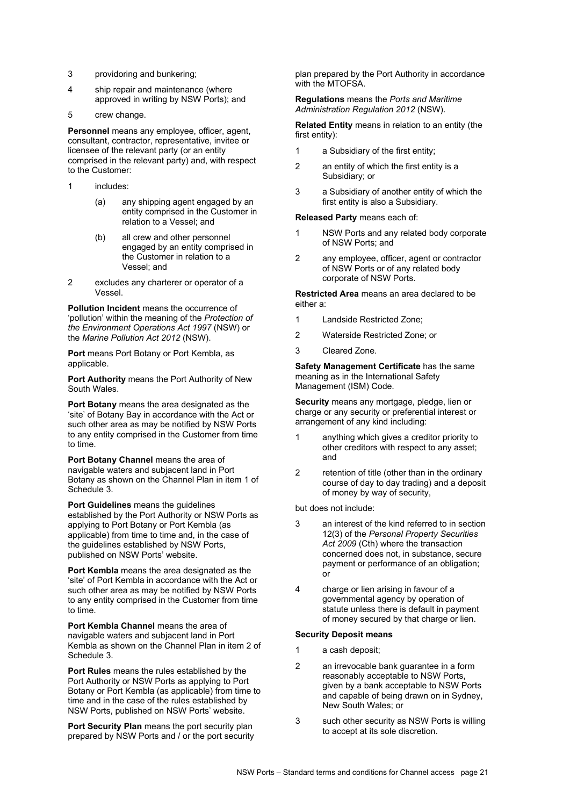- 3 providoring and bunkering;
- 4 ship repair and maintenance (where approved in writing by NSW Ports); and
- 5 crew change.

**Personnel** means any employee, officer, agent, consultant, contractor, representative, invitee or licensee of the relevant party (or an entity comprised in the relevant party) and, with respect to the Customer:

- 1 includes:
	- (a) any shipping agent engaged by an entity comprised in the Customer in relation to a Vessel; and
	- (b) all crew and other personnel engaged by an entity comprised in the Customer in relation to a Vessel; and
- 2 excludes any charterer or operator of a Vessel.

**Pollution Incident** means the occurrence of 'pollution' within the meaning of the *Protection of the Environment Operations Act 1997* (NSW) or the *Marine Pollution Act 2012* (NSW).

**Port** means Port Botany or Port Kembla, as applicable.

**Port Authority** means the Port Authority of New South Wales.

**Port Botany** means the area designated as the 'site' of Botany Bay in accordance with the Act or such other area as may be notified by NSW Ports to any entity comprised in the Customer from time to time.

**Port Botany Channel** means the area of navigable waters and subjacent land in Port Botany as shown on the Channel Plan in item 1 of Schedule 3.

**Port Guidelines** means the guidelines established by the Port Authority or NSW Ports as applying to Port Botany or Port Kembla (as applicable) from time to time and, in the case of the guidelines established by NSW Ports, published on NSW Ports' website.

**Port Kembla** means the area designated as the 'site' of Port Kembla in accordance with the Act or such other area as may be notified by NSW Ports to any entity comprised in the Customer from time to time.

**Port Kembla Channel** means the area of navigable waters and subjacent land in Port Kembla as shown on the Channel Plan in item 2 of Schedule 3.

**Port Rules** means the rules established by the Port Authority or NSW Ports as applying to Port Botany or Port Kembla (as applicable) from time to time and in the case of the rules established by NSW Ports, published on NSW Ports' website.

**Port Security Plan** means the port security plan prepared by NSW Ports and / or the port security plan prepared by the Port Authority in accordance with the MTOFSA.

**Regulations** means the *Ports and Maritime Administration Regulation 2012* (NSW).

**Related Entity** means in relation to an entity (the first entity):

- 1 a Subsidiary of the first entity;
- 2 an entity of which the first entity is a Subsidiary; or
- 3 a Subsidiary of another entity of which the first entity is also a Subsidiary.

#### **Released Party** means each of:

- 1 NSW Ports and any related body corporate of NSW Ports; and
- 2 any employee, officer, agent or contractor of NSW Ports or of any related body corporate of NSW Ports.

**Restricted Area** means an area declared to be either a:

- 1 Landside Restricted Zone;
- 2 Waterside Restricted Zone; or
- 3 Cleared Zone.

**Safety Management Certificate** has the same meaning as in the International Safety Management (ISM) Code.

**Security** means any mortgage, pledge, lien or charge or any security or preferential interest or arrangement of any kind including:

- 1 anything which gives a creditor priority to other creditors with respect to any asset; and
- 2 retention of title (other than in the ordinary course of day to day trading) and a deposit of money by way of security,

but does not include:

- 3 an interest of the kind referred to in section 12(3) of the *Personal Property Securities Act 2009* (Cth) where the transaction concerned does not, in substance, secure payment or performance of an obligation; or
- 4 charge or lien arising in favour of a governmental agency by operation of statute unless there is default in payment of money secured by that charge or lien.

#### **Security Deposit means**

- 1 a cash deposit;
- 2 an irrevocable bank guarantee in a form reasonably acceptable to NSW Ports, given by a bank acceptable to NSW Ports and capable of being drawn on in Sydney, New South Wales; or
- 3 such other security as NSW Ports is willing to accept at its sole discretion.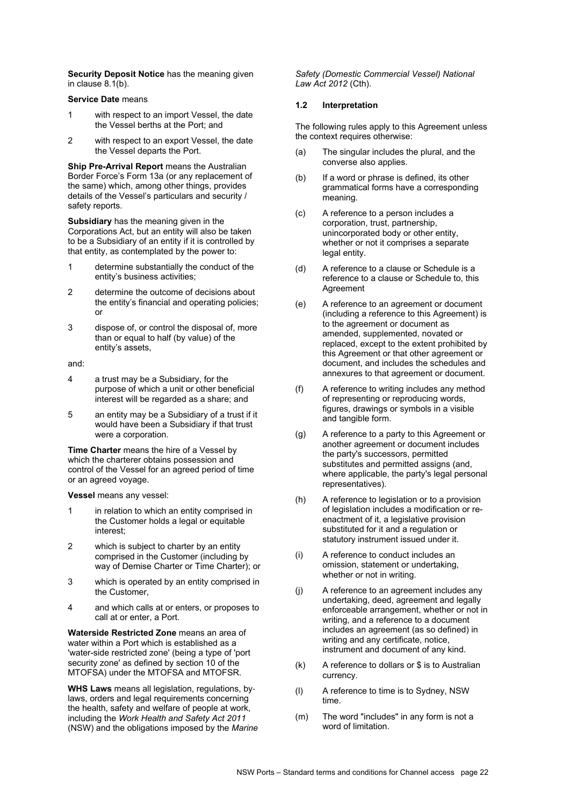**Security Deposit Notice** has the meaning given in clause [8.1\(b\).](#page-4-1)

#### **Service Date** means

- 1 with respect to an import Vessel, the date the Vessel berths at the Port; and
- 2 with respect to an export Vessel, the date the Vessel departs the Port.

**Ship Pre-Arrival Report** means the Australian Border Force's Form 13a (or any replacement of the same) which, among other things, provides details of the Vessel's particulars and security / safety reports.

**Subsidiary** has the meaning given in the Corporations Act, but an entity will also be taken to be a Subsidiary of an entity if it is controlled by that entity, as contemplated by the power to:

- 1 determine substantially the conduct of the entity's business activities;
- 2 determine the outcome of decisions about the entity's financial and operating policies; or
- 3 dispose of, or control the disposal of, more than or equal to half (by value) of the entity's assets,

and:

- 4 a trust may be a Subsidiary, for the purpose of which a unit or other beneficial interest will be regarded as a share; and
- 5 an entity may be a Subsidiary of a trust if it would have been a Subsidiary if that trust were a corporation.

**Time Charter** means the hire of a Vessel by which the charterer obtains possession and control of the Vessel for an agreed period of time or an agreed voyage.

**Vessel** means any vessel:

- 1 in relation to which an entity comprised in the Customer holds a legal or equitable interest;
- 2 which is subject to charter by an entity comprised in the Customer (including by way of Demise Charter or Time Charter); or
- 3 which is operated by an entity comprised in the Customer,
- 4 and which calls at or enters, or proposes to call at or enter, a Port.

**Waterside Restricted Zone** means an area of water within a Port which is established as a 'water-side restricted zone' (being a type of 'port security zone' as defined by section 10 of the MTOFSA) under the MTOFSA and MTOFSR.

**WHS Laws** means all legislation, regulations, by‐ laws, orders and legal requirements concerning the health, safety and welfare of people at work, including the *Work Health and Safety Act 2011*  (NSW) and the obligations imposed by the *Marine*  *Safety (Domestic Commercial Vessel) National Law Act 2012* (Cth).

#### **1.2 Interpretation**

The following rules apply to this Agreement unless the context requires otherwise:

- (a) The singular includes the plural, and the converse also applies.
- (b) If a word or phrase is defined, its other grammatical forms have a corresponding meaning.
- (c) A reference to a person includes a corporation, trust, partnership, unincorporated body or other entity, whether or not it comprises a separate legal entity.
- (d) A reference to a clause or Schedule is a reference to a clause or Schedule to, this Agreement
- (e) A reference to an agreement or document (including a reference to this Agreement) is to the agreement or document as amended, supplemented, novated or replaced, except to the extent prohibited by this Agreement or that other agreement or document, and includes the schedules and annexures to that agreement or document.
- (f) A reference to writing includes any method of representing or reproducing words, figures, drawings or symbols in a visible and tangible form.
- (g) A reference to a party to this Agreement or another agreement or document includes the party's successors, permitted substitutes and permitted assigns (and, where applicable, the party's legal personal representatives).
- (h) A reference to legislation or to a provision of legislation includes a modification or reenactment of it, a legislative provision substituted for it and a regulation or statutory instrument issued under it.
- (i) A reference to conduct includes an omission, statement or undertaking, whether or not in writing.
- (j) A reference to an agreement includes any undertaking, deed, agreement and legally enforceable arrangement, whether or not in writing, and a reference to a document includes an agreement (as so defined) in writing and any certificate, notice, instrument and document of any kind.
- (k) A reference to dollars or \$ is to Australian currency.
- (l) A reference to time is to Sydney, NSW time.
- (m) The word "includes" in any form is not a word of limitation.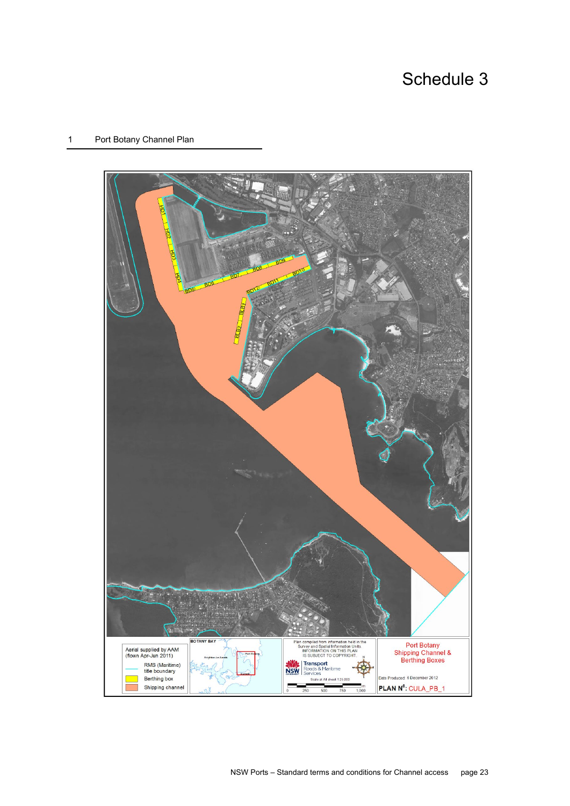# Schedule 3

## 1 Port Botany Channel Plan